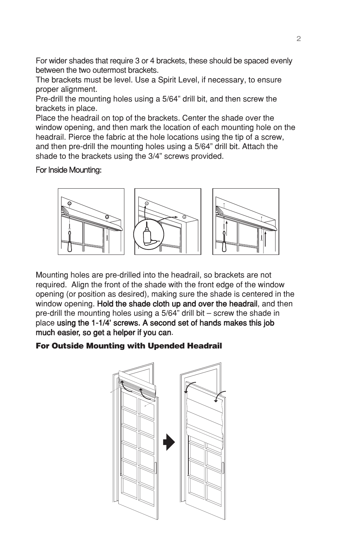For wider shades that require 3 or 4 brackets, these should be spaced evenly between the two outermost brackets.

The brackets must be level. Use a Spirit Level, if necessary, to ensure proper alignment.

Pre-drill the mounting holes using a 5/64" drill bit, and then screw the brackets in place.

Place the headrail on top of the brackets. Center the shade over the window opening, and then mark the location of each mounting hole on the headrail. Pierce the fabric at the hole locations using the tip of a screw, and then pre-drill the mounting holes using a 5/64" drill bit. Attach the shade to the brackets using the 3/4" screws provided.

#### For Inside Mounting:



Mounting holes are pre-drilled into the headrail, so brackets are not required. Align the front of the shade with the front edge of the window opening (or position as desired), making sure the shade is centered in the window opening. Hold the shade cloth up and over the headrail, and then pre-drill the mounting holes using a 5/64" drill bit – screw the shade in place using the 1-1/4' screws. A second set of hands makes this job much easier, so get a helper if you can.

# For Outside Mounting with Upended Headrail

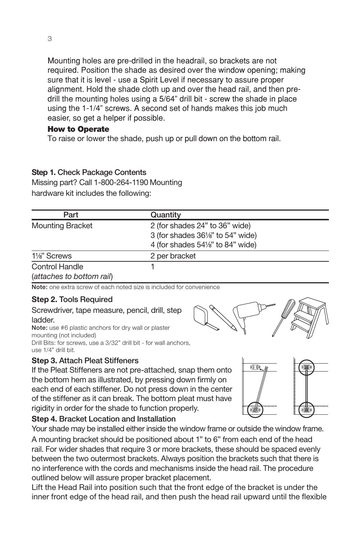Mounting holes are pre-drilled in the headrail, so brackets are not required. Position the shade as desired over the window opening; making sure that it is level - use a Spirit Level if necessary to assure proper alignment. Hold the shade cloth up and over the head rail, and then pre-drill the mounting holes using a 5/64" drill bit - screw the shade in place using the 1-1/4" screws. A second set of hands makes this job much easier, so get a helper if possible.

#### How to Operate

To raise or lower the shade, push up or pull down on the bottom rail.

# Custom Cordless Roman Shade

#### **Step 1. Check Package Contents**

Missing part? Call 1-800-264-1190 Mounting hardware kit includes the following:

| Part                                               | Quantity                                                                                                            |  |
|----------------------------------------------------|---------------------------------------------------------------------------------------------------------------------|--|
| <b>Mounting Bracket</b>                            | 2 (for shades 24" to 36" wide)<br>3 (for shades 361/s" to 54" wide)<br>4 (for shades $54\frac{1}{8}$ " to 84" wide) |  |
| 1 <sup>/8</sup> Screws                             | 2 per bracket                                                                                                       |  |
| <b>Control Handle</b><br>(attaches to bottom rail) |                                                                                                                     |  |

Note:oneextrascrewofeachnotedsizeisincludedforconvenience

#### **Step 2.** Tools Required

Screwdriver, tape measure, pencil, drill, step ladder. . OTE USEPLASTICANCHORSFORDRYWALLORPLASTER MOUNTINGNOTINCLUDED

RILLITSEORSCREW\$ISEAO DRILL RITEORWALL ANCHORS **USE O DRILLBIT** 

#### **Step 3.** Attach Pleat Stiffeners

If the Pleat Stiffeners are not pre-attached, snap them onto the bottom hem as illustrated, by pressing down firmly on each end of each stiffener. Do not press down in the center of the stiffener as it can break. The bottom pleat must have rigidity in order for the shade to function properly.



### **Step 4.** Bracket Location and Installation

Your shade may be installed either inside the window frame or outside the window frame. A mounting bracket should be positioned about 1" to 6" from each end of the head rail. For wider shades that require 3 or more brackets, these should be spaced evenly between the two outermost brackets. Always position the brackets such that there is no interference with the cords and mechanisms inside the head rail. The procedure outlined below will assure proper bracket placement.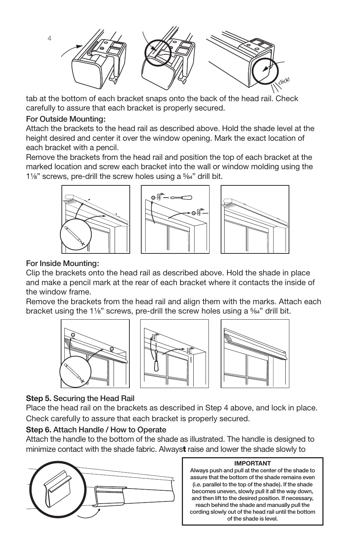Lift the Head Rail into position such that the front edge of the bracket is under the inner front edge of the head rail, and then push the head rail upward until the flexible



tab at the bottom of each bracket snaps onto the back of the head rail. Check carefully to assure that each bracket is properly secured.

#### For Outside Mounting:

Attach the brackets to the head rail as described above. Hold the shade level at the height desired and center it over the window opening. Mark the exact location of each bracket with a pencil.

Remove the brackets from the head rail and position the top of each bracket at the marked location and screw each bracket into the wall or window molding using the 11/8" screws, pre-drill the screw holes using a 5/64" drill bit.



#### For Inside Mounting:

Clip the brackets onto the head rail as described above. Hold the shade in place and make a pencil mark at the rear of each bracket where it contacts the inside of the window frame.

Remove the brackets from the head rail and align them with the marks. Attach each bracket using the 11/8 " screws, pre-drill the screw holes using a  $\frac{5}{6}$  4" drill bit.







# **Step 5.** Securing the Head Rail

Place the head rail on the brackets as described in Step 4 above, and lock in place. Check carefully to assure that each bracket is properly secured.

#### **Step 6.** Attach Handle / How to Operate

Attach the handle to the bottom of the shade as illustrated. The handle is designed to minimize contact with the shade fabric. Always raise and lower the shade slowly to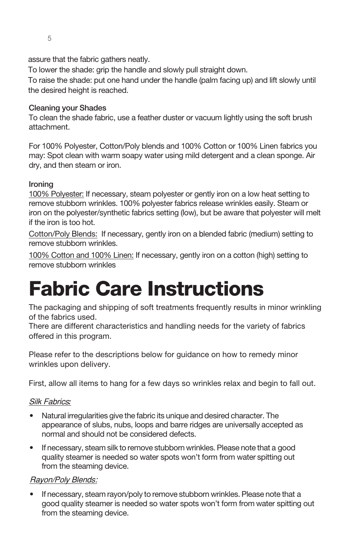

#### **IMPORTANT**

Always push and pull at the center of the shade to assure that the bottom of the shade remains even (i.e. parallel to the top of the shade). If the shade becomes uneven, slowly pull it all the way down, and then lift to the desired position. If necessary, reach behind the shade and manually pull the cording slowly out of the head rail until the bottom of the shade is level.

#### **Step 6.** Attach Handle / How to Operate

assure that the fabric gathers neatly. Attach the handle to the bottom of the shade as illustrated. The handle is designed to minimize contact with the shade fabric. Always raise and lower the shade slowly to

To lower the shade: grip the handle and slowly pull straight down.

To raise the shade: put one hand under the handle (palm facing up) and lift slowly until the desired height is reached.

#### Cleaning your Shades

To clean the shade fabric, use a feather duster or vacuum lightly using the soft brush attachment.

For 100% Polyester, Cotton/Poly blends and 100% Cotton or 100% Linen fabrics you may: Spot clean with warm soapy water using mild detergent and a clean sponge. Air dry, and then steam or iron.

#### Ironing

100% Polyester: If necessary, steam polyester or gently iron on a low heat setting to remove stubborn wrinkles. 100% polyester fabrics release wrinkles easily. Steam or iron on the polyester/synthetic fabrics setting (low), but be aware that polyester will melt if the iron is too hot.

Cotton/Poly Blends: If necessary, gently iron on a blended fabric (medium) setting to remove stubborn wrinkles.

100% Cotton and 100% Linen: If necessary, gently iron on a cotton (high) setting to remove stubborn wrinkles

# Fabric Care Instructions

The packaging and shipping of soft treatments frequently results in minor wrinkling of the fabrics used.

There are different characteristics and handling needs for the variety of fabrics offered in this program.

Please refer to the descriptions below for guidance on how to remedy minor wrinkles upon delivery.

First, allow all items to hang for a few days so wrinkles relax and begin to fall out.